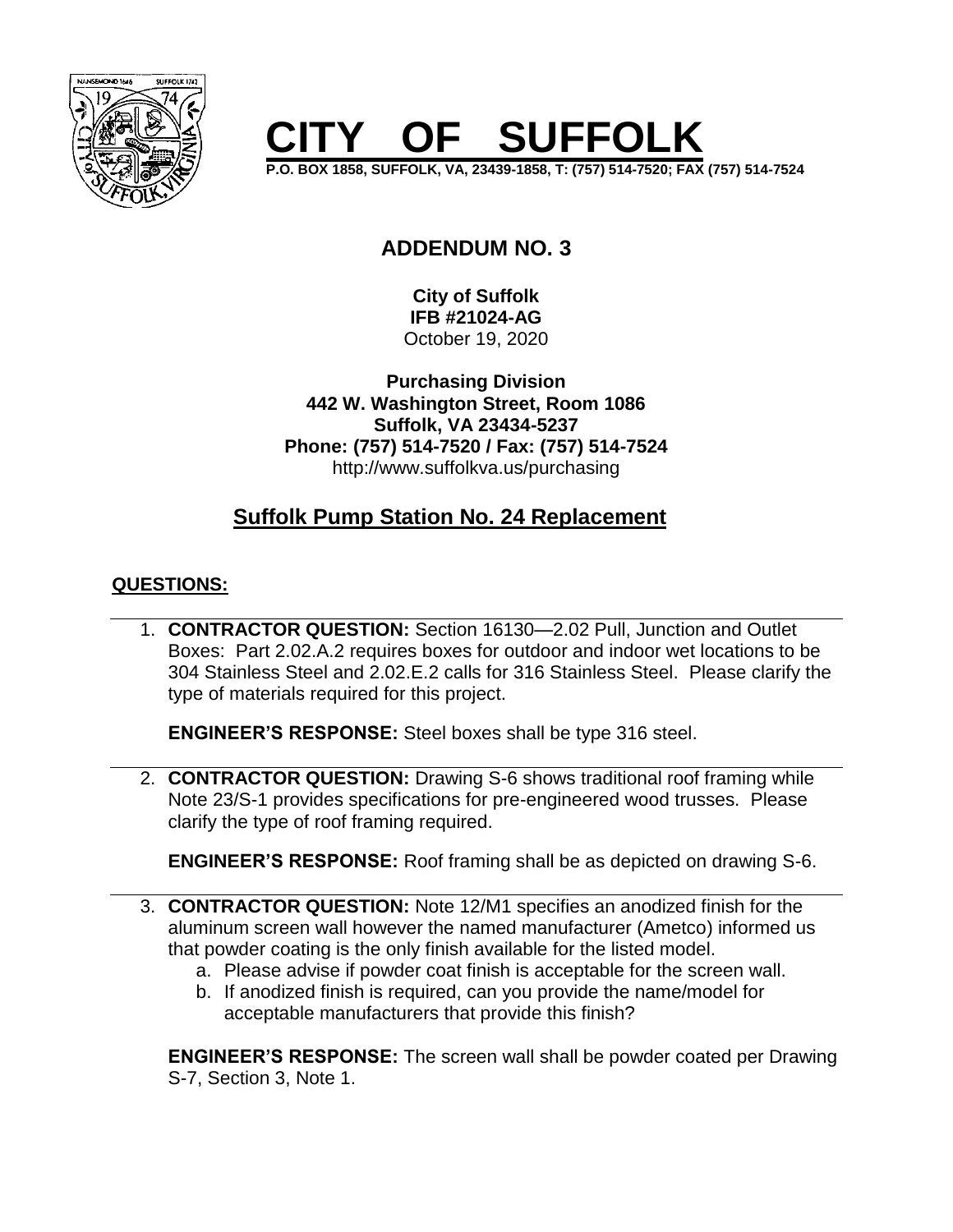

# **CISTS** SUFFOLK

**P.O. BOX 1858, SUFFOLK, VA, 23439-1858, T: (757) 514-7520; FAX (757) 514-7524**

# **ADDENDUM NO. 3**

**City of Suffolk IFB #21024-AG** October 19, 2020

**Purchasing Division 442 W. Washington Street, Room 1086 Suffolk, VA 23434-5237 Phone: (757) 514-7520 / Fax: (757) 514-7524** http://www.suffolkva.us/purchasing

## **Suffolk Pump Station No. 24 Replacement**

## **QUESTIONS:**

1. **CONTRACTOR QUESTION:** Section 16130—2.02 Pull, Junction and Outlet Boxes: Part 2.02.A.2 requires boxes for outdoor and indoor wet locations to be 304 Stainless Steel and 2.02.E.2 calls for 316 Stainless Steel. Please clarify the type of materials required for this project.

**ENGINEER'S RESPONSE:** Steel boxes shall be type 316 steel.

2. **CONTRACTOR QUESTION:** Drawing S-6 shows traditional roof framing while Note 23/S-1 provides specifications for pre-engineered wood trusses. Please clarify the type of roof framing required.

**ENGINEER'S RESPONSE:** Roof framing shall be as depicted on drawing S-6.

- 3. **CONTRACTOR QUESTION:** Note 12/M1 specifies an anodized finish for the aluminum screen wall however the named manufacturer (Ametco) informed us that powder coating is the only finish available for the listed model.
	- a. Please advise if powder coat finish is acceptable for the screen wall.
	- b. If anodized finish is required, can you provide the name/model for acceptable manufacturers that provide this finish?

**ENGINEER'S RESPONSE:** The screen wall shall be powder coated per Drawing S-7, Section 3, Note 1.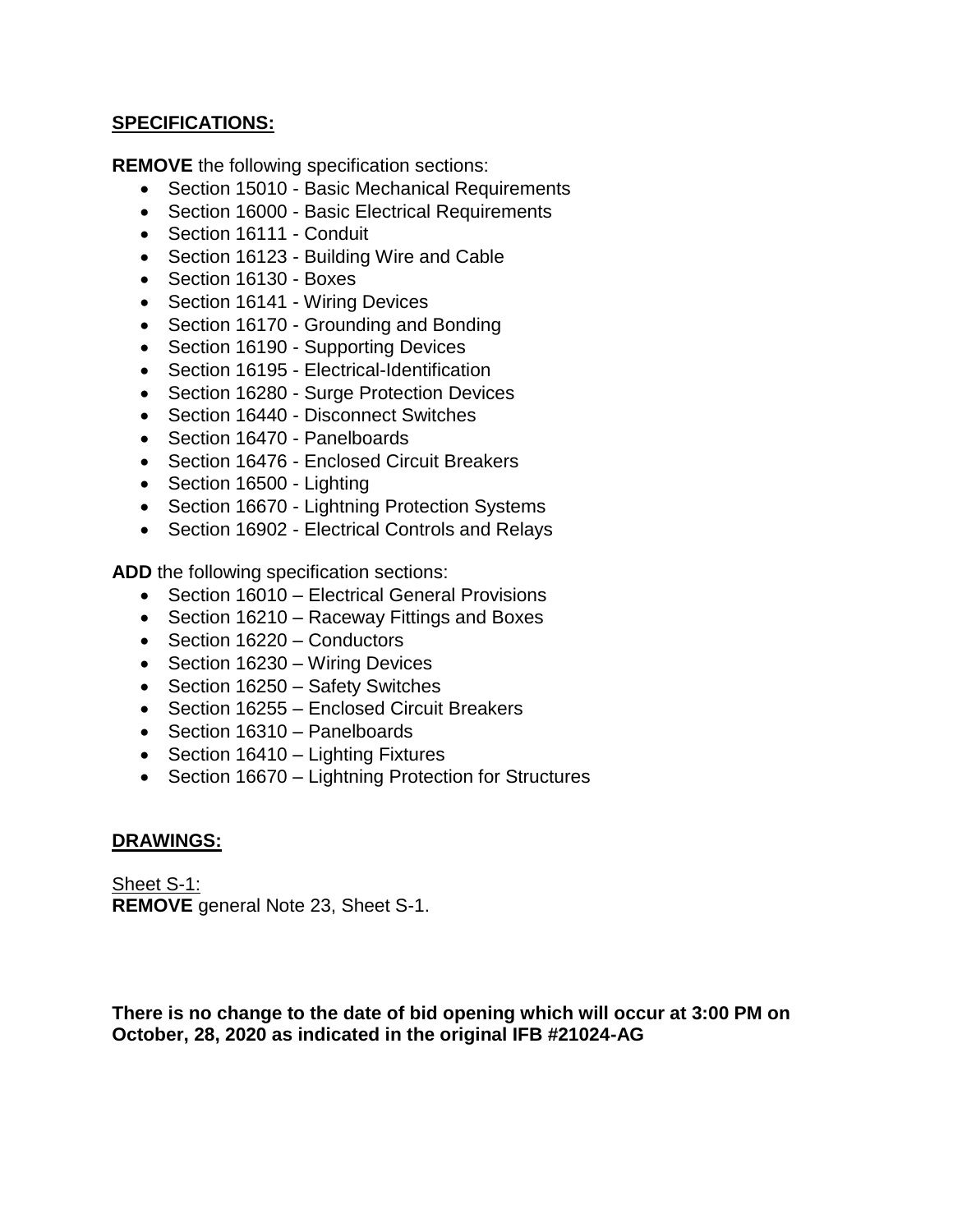### **SPECIFICATIONS:**

**REMOVE** the following specification sections:

- Section 15010 Basic Mechanical Requirements
- Section 16000 Basic Electrical Requirements
- Section 16111 Conduit
- Section 16123 Building Wire and Cable
- Section 16130 Boxes
- Section 16141 Wiring Devices
- Section 16170 Grounding and Bonding
- Section 16190 Supporting Devices
- Section 16195 Electrical-Identification
- Section 16280 Surge Protection Devices
- Section 16440 Disconnect Switches
- Section 16470 Panelboards
- Section 16476 Enclosed Circuit Breakers
- Section 16500 Lighting
- Section 16670 Lightning Protection Systems
- Section 16902 Electrical Controls and Relays

**ADD** the following specification sections:

- Section 16010 Electrical General Provisions
- Section 16210 Raceway Fittings and Boxes
- Section 16220 Conductors
- Section 16230 Wiring Devices
- Section 16250 Safety Switches
- Section 16255 Enclosed Circuit Breakers
- Section 16310 Panelboards
- Section 16410 Lighting Fixtures
- Section 16670 Lightning Protection for Structures

#### **DRAWINGS:**

Sheet S-1: **REMOVE** general Note 23, Sheet S-1.

**There is no change to the date of bid opening which will occur at 3:00 PM on October, 28, 2020 as indicated in the original IFB #21024-AG**